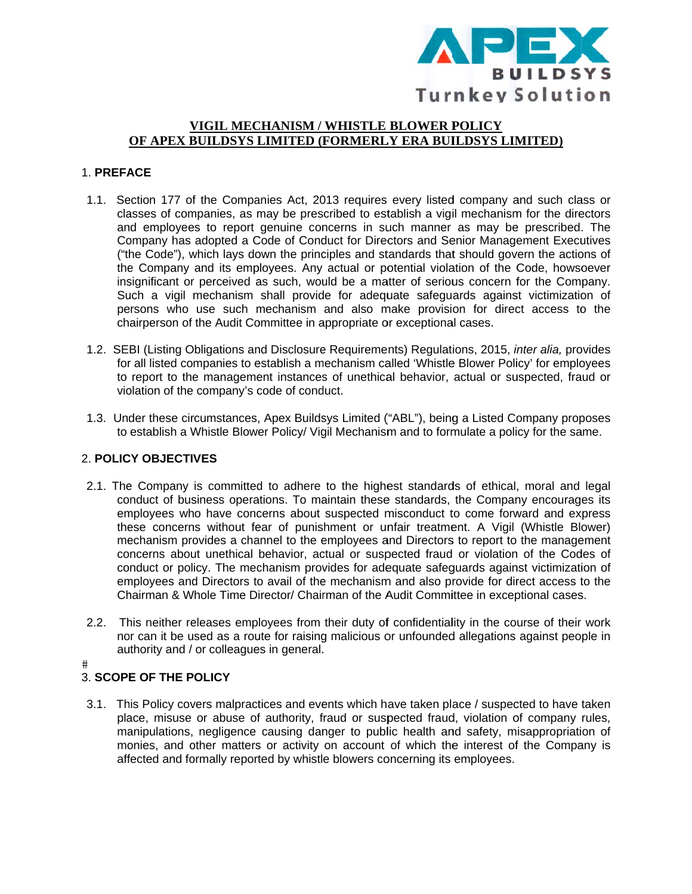

# VIGIL MECHANISM / WHISTLE BLOWER POLICY OF APEX BUILDSYS LIMITED (FORMERLY ERA BUILDSYS LIMITED)

#### 1. PREFACE

- 1.1. Section 177 of the Companies Act, 2013 requires every listed company and such class or classes of companies, as may be prescribed to establish a vigil mechanism for the directors and employees to report genuine concerns in such manner as may be prescribed. The Company has adopted a Code of Conduct for Directors and Senior Management Executives ("the Code"), which lays down the principles and standards that should govern the actions of the Company and its employees. Any actual or potential violation of the Code, howsoever insignificant or perceived as such, would be a matter of serious concern for the Company. Such a vigil mechanism shall provide for adequate safeguards against victimization of persons who use such mechanism and also make provision for direct access to the chairperson of the Audit Committee in appropriate or exceptional cases.
- 1.2. SEBI (Listing Obligations and Disclosure Requirements) Regulations, 2015, *inter alia*, provides for all listed companies to establish a mechanism called 'Whistle Blower Policy' for employees to report to the management instances of unethical behavior, actual or suspected, fraud or violation of the company's code of conduct.
- 1.3. Under these circumstances, Apex Buildsys Limited ("ABL"), being a Listed Company proposes to establish a Whistle Blower Policy/ Vigil Mechanism and to formulate a policy for the same.

### 2. POLICY OBJECTIVES

- 2.1. The Company is committed to adhere to the highest standards of ethical, moral and legal conduct of business operations. To maintain these standards, the Company encourages its employees who have concerns about suspected misconduct to come forward and express these concerns without fear of punishment or unfair treatment. A Vigil (Whistle Blower) mechanism provides a channel to the employees and Directors to report to the management concerns about unethical behavior, actual or suspected fraud or violation of the Codes of conduct or policy. The mechanism provides for adequate safeguards against victimization of employees and Directors to avail of the mechanism and also provide for direct access to the Chairman & Whole Time Director/ Chairman of the Audit Committee in exceptional cases.
- 2.2. This neither releases employees from their duty of confidentiality in the course of their work nor can it be used as a route for raising malicious or unfounded allegations against people in authority and / or colleagues in general.

# 3. SCOPE OF THE POLICY

3.1. This Policy covers malpractices and events which have taken place / suspected to have taken place, misuse or abuse of authority, fraud or suspected fraud, violation of company rules, manipulations, negligence causing danger to public health and safety, misappropriation of monies, and other matters or activity on account of which the interest of the Company is affected and formally reported by whistle blowers concerning its employees.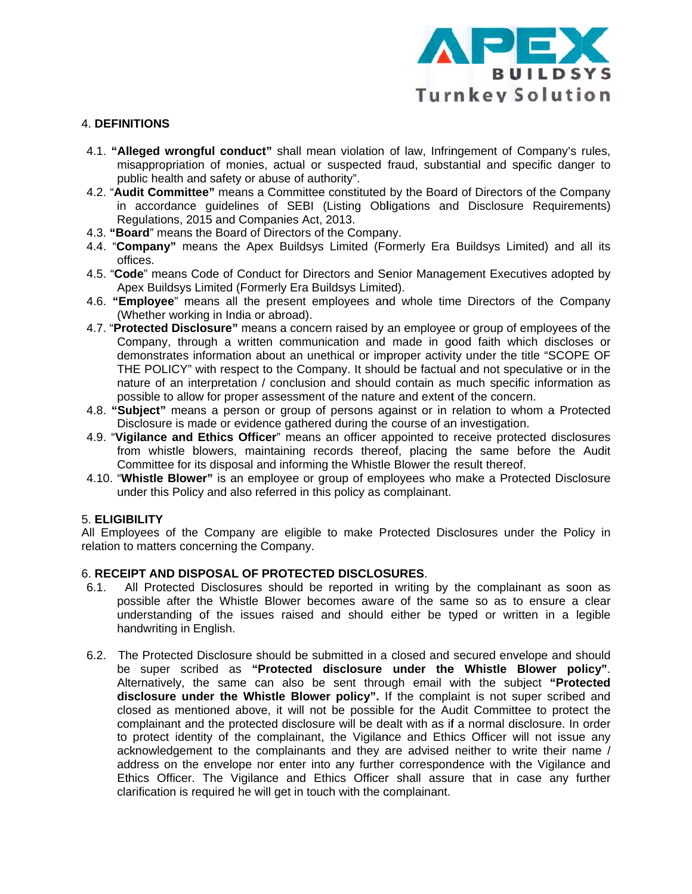

### **4. DEFINITIONS**

- 4.1. "Alleged wrongful conduct" shall mean violation of law, Infringement of Company's rules, misappropriation of monies, actual or suspected fraud, substantial and specific danger to public health and safety or abuse of authority".
- 4.2. "Audit Committee" means a Committee constituted by the Board of Directors of the Company in accordance quidelines of SEBI (Listing Obligations and Disclosure Requirements) Regulations, 2015 and Companies Act, 2013.
- 4.3. "Board" means the Board of Directors of the Company.
- 4.4. "Company" means the Apex Buildsys Limited (Formerly Era Buildsys Limited) and all its offices
- 4.5. "Code" means Code of Conduct for Directors and Senior Management Executives adopted by Apex Buildsys Limited (Formerly Era Buildsys Limited).
- 4.6. "Employee" means all the present employees and whole time Directors of the Company (Whether working in India or abroad).
- 4.7. "Protected Disclosure" means a concern raised by an employee or group of employees of the Company, through a written communication and made in good faith which discloses or demonstrates information about an unethical or improper activity under the title "SCOPE OF THE POLICY" with respect to the Company. It should be factual and not speculative or in the nature of an interpretation / conclusion and should contain as much specific information as possible to allow for proper assessment of the nature and extent of the concern.
- 4.8. "Subject" means a person or group of persons against or in relation to whom a Protected Disclosure is made or evidence gathered during the course of an investigation.
- 4.9. "Vigilance and Ethics Officer" means an officer appointed to receive protected disclosures from whistle blowers, maintaining records thereof, placing the same before the Audit Committee for its disposal and informing the Whistle Blower the result thereof.
- 4.10. "Whistle Blower" is an employee or group of employees who make a Protected Disclosure under this Policy and also referred in this policy as complainant.

### 5. ELIGIBILITY

All Employees of the Company are eligible to make Protected Disclosures under the Policy in relation to matters concerning the Company.

### 6. RECEIPT AND DISPOSAL OF PROTECTED DISCLOSURES.

- $6.1.$ All Protected Disclosures should be reported in writing by the complainant as soon as possible after the Whistle Blower becomes aware of the same so as to ensure a clear understanding of the issues raised and should either be typed or written in a legible handwriting in English.
- 6.2. The Protected Disclosure should be submitted in a closed and secured envelope and should be super scribed as "Protected disclosure under the Whistle Blower policy". Alternatively, the same can also be sent through email with the subject "Protected disclosure under the Whistle Blower policy". If the complaint is not super scribed and closed as mentioned above, it will not be possible for the Audit Committee to protect the complainant and the protected disclosure will be dealt with as if a normal disclosure. In order to protect identity of the complainant, the Vigilance and Ethics Officer will not issue any acknowledgement to the complainants and they are advised neither to write their name / address on the envelope nor enter into any further correspondence with the Vigilance and Ethics Officer. The Vigilance and Ethics Officer shall assure that in case any further clarification is required he will get in touch with the complainant.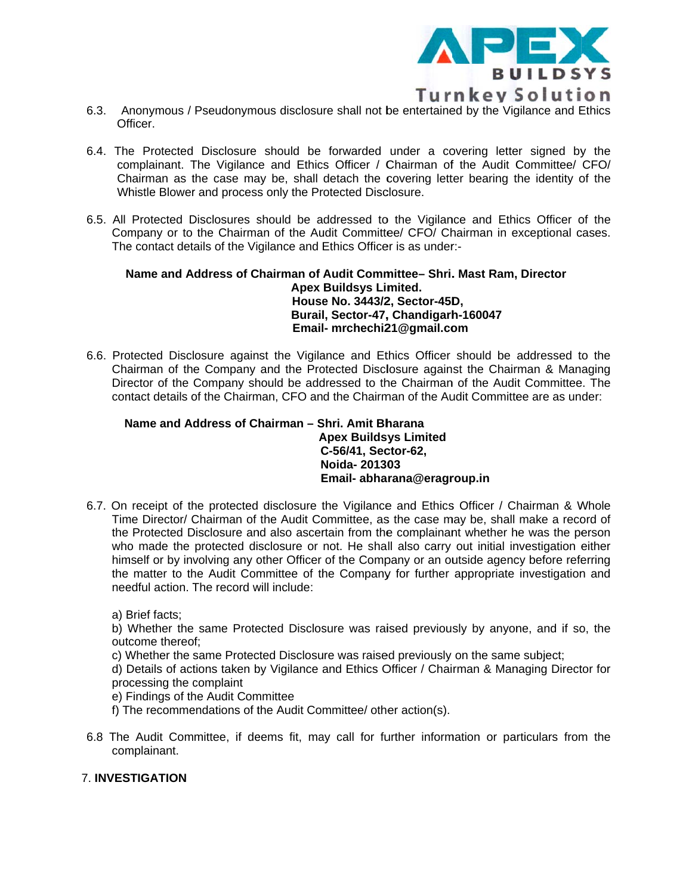

- 6.3. Anonymous / Pseudonymous disclosure shall not be entertained by the Vigilance and Ethics Officer.
- 6.4. The Protected Disclosure should be forwarded under a covering letter signed by the complainant. The Vigilance and Ethics Officer / Chairman of the Audit Committee/ CFO/ Chairman as the case may be, shall detach the covering letter bearing the identity of the Whistle Blower and process only the Protected Disclosure.
- 6.5. All Protected Disclosures should be addressed to the Vigilance and Ethics Officer of the Company or to the Chairman of the Audit Committee/ CFO/ Chairman in exceptional cases. The contact details of the Vigilance and Ethics Officer is as under:-

Name and Address of Chairman of Audit Committee- Shri. Mast Ram, Director **Apex Buildsys Limited.** House No. 3443/2, Sector-45D, Burail, Sector-47, Chandigarh-160047 Email- mrchechi21@gmail.com

6.6. Protected Disclosure against the Vigilance and Ethics Officer should be addressed to the Chairman of the Company and the Protected Disclosure against the Chairman & Managing Director of the Company should be addressed to the Chairman of the Audit Committee. The contact details of the Chairman, CFO and the Chairman of the Audit Committee are as under:

Name and Address of Chairman - Shri. Amit Bharana **Apex Buildsys Limited** C-56/41, Sector-62, Noida-201303 Email- abharana@eragroup.in

6.7. On receipt of the protected disclosure the Vigilance and Ethics Officer / Chairman & Whole Time Director/ Chairman of the Audit Committee, as the case may be, shall make a record of the Protected Disclosure and also ascertain from the complainant whether he was the person who made the protected disclosure or not. He shall also carry out initial investigation either himself or by involving any other Officer of the Company or an outside agency before referring the matter to the Audit Committee of the Company for further appropriate investigation and needful action. The record will include:

a) Brief facts:

b) Whether the same Protected Disclosure was raised previously by anyone, and if so, the outcome thereof:

c) Whether the same Protected Disclosure was raised previously on the same subject:

d) Details of actions taken by Vigilance and Ethics Officer / Chairman & Managing Director for processing the complaint

e) Findings of the Audit Committee

- f) The recommendations of the Audit Committee/ other action(s).
- 6.8 The Audit Committee, if deems fit, may call for further information or particulars from the complainant.

### **7. INVESTIGATION**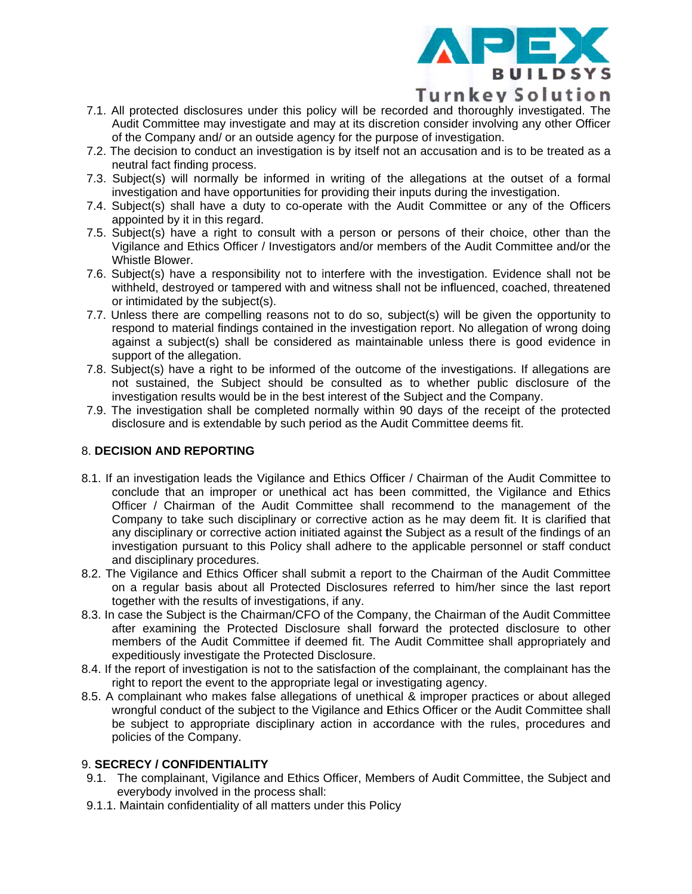

**Turnkey Solution** 

- 7.1. All protected disclosures under this policy will be recorded and thoroughly investigated. The Audit Committee may investigate and may at its discretion consider involving any other Officer of the Company and/ or an outside agency for the purpose of investigation.
- 7.2. The decision to conduct an investigation is by itself not an accusation and is to be treated as a neutral fact finding process.
- 7.3. Subject(s) will normally be informed in writing of the allegations at the outset of a formal investigation and have opportunities for providing their inputs during the investigation.
- 7.4. Subject(s) shall have a duty to co-operate with the Audit Committee or any of the Officers appointed by it in this regard.
- 7.5. Subject(s) have a right to consult with a person or persons of their choice, other than the Vigilance and Ethics Officer / Investigators and/or members of the Audit Committee and/or the Whistle Blower.
- 7.6. Subject(s) have a responsibility not to interfere with the investigation. Evidence shall not be withheld, destroyed or tampered with and witness shall not be influenced, coached, threatened or intimidated by the subject(s).
- 7.7. Unless there are compelling reasons not to do so, subject(s) will be given the opportunity to respond to material findings contained in the investigation report. No allegation of wrong doing against a subject(s) shall be considered as maintainable unless there is good evidence in support of the allegation.
- 7.8. Subiect(s) have a right to be informed of the outcome of the investigations. If allegations are not sustained, the Subject should be consulted as to whether public disclosure of the investigation results would be in the best interest of the Subject and the Company.
- 7.9. The investigation shall be completed normally within 90 days of the receipt of the protected disclosure and is extendable by such period as the Audit Committee deems fit.

### **8. DECISION AND REPORTING**

- 8.1. If an investigation leads the Vigilance and Ethics Officer / Chairman of the Audit Committee to conclude that an improper or unethical act has been committed, the Vigilance and Ethics Officer / Chairman of the Audit Committee shall recommend to the management of the Company to take such disciplinary or corrective action as he may deem fit. It is clarified that any disciplinary or corrective action initiated against the Subject as a result of the findings of an investigation pursuant to this Policy shall adhere to the applicable personnel or staff conduct and disciplinary procedures.
- 8.2. The Vigilance and Ethics Officer shall submit a report to the Chairman of the Audit Committee on a regular basis about all Protected Disclosures referred to him/her since the last report together with the results of investigations, if any.
- 8.3. In case the Subject is the Chairman/CFO of the Company, the Chairman of the Audit Committee after examining the Protected Disclosure shall forward the protected disclosure to other members of the Audit Committee if deemed fit. The Audit Committee shall appropriately and expeditiously investigate the Protected Disclosure.
- 8.4. If the report of investigation is not to the satisfaction of the complainant, the complainant has the right to report the event to the appropriate legal or investigating agency.
- 8.5. A complainant who makes false allegations of unethical & improper practices or about alleged wrongful conduct of the subject to the Vigilance and Ethics Officer or the Audit Committee shall be subject to appropriate disciplinary action in accordance with the rules, procedures and policies of the Company.

### 9. SECRECY / CONFIDENTIALITY

- 9.1. The complainant, Vigilance and Ethics Officer, Members of Audit Committee, the Subject and everybody involved in the process shall:
- 9.1.1. Maintain confidentiality of all matters under this Policy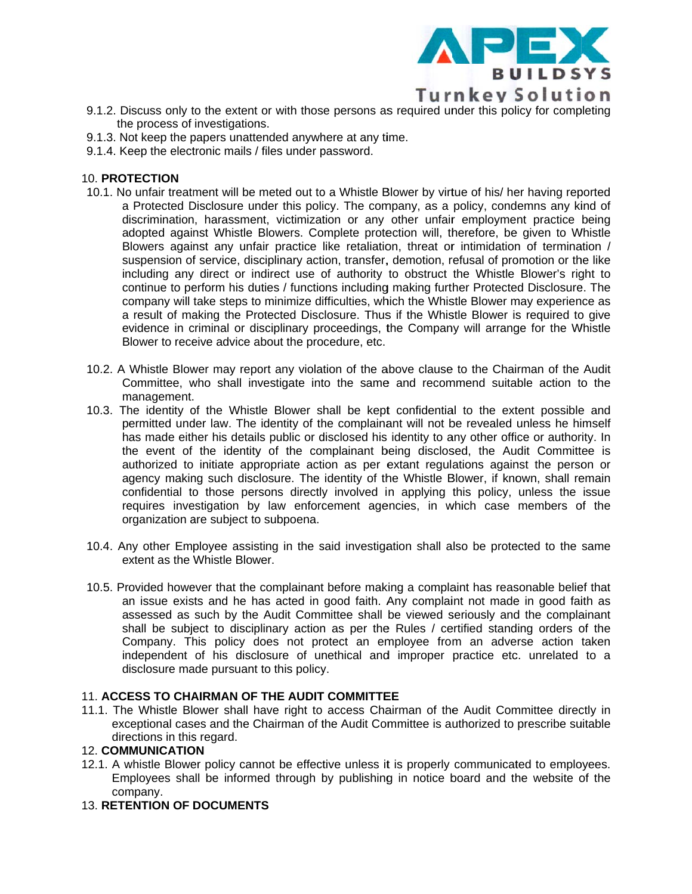

- 9.1.2. Discuss only to the extent or with those persons as required under this policy for completing the process of investigations.
- 9.1.3. Not keep the papers unattended anywhere at any time.
- 9.1.4. Keep the electronic mails / files under password.

#### **10. PROTECTION**

- 10.1. No unfair treatment will be meted out to a Whistle Blower by virtue of his/ her having reported a Protected Disclosure under this policy. The company, as a policy, condemns any kind of discrimination, harassment, victimization or any other unfair employment practice being adopted against Whistle Blowers. Complete protection will, therefore, be given to Whistle Blowers against any unfair practice like retaliation, threat or intimidation of termination / suspension of service, disciplinary action, transfer, demotion, refusal of promotion or the like including any direct or indirect use of authority to obstruct the Whistle Blower's right to continue to perform his duties / functions including making further Protected Disclosure. The company will take steps to minimize difficulties, which the Whistle Blower may experience as a result of making the Protected Disclosure. Thus if the Whistle Blower is required to give evidence in criminal or disciplinary proceedings, the Company will arrange for the Whistle Blower to receive advice about the procedure, etc.
- 10.2. A Whistle Blower may report any violation of the above clause to the Chairman of the Audit Committee, who shall investigate into the same and recommend suitable action to the management.
- 10.3. The identity of the Whistle Blower shall be kept confidential to the extent possible and permitted under law. The identity of the complainant will not be revealed unless he himself has made either his details public or disclosed his identity to any other office or authority. In the event of the identity of the complainant being disclosed, the Audit Committee is authorized to initiate appropriate action as per extant regulations against the person or agency making such disclosure. The identity of the Whistle Blower, if known, shall remain confidential to those persons directly involved in applying this policy, unless the issue requires investigation by law enforcement agencies, in which case members of the organization are subject to subpoena.
- 10.4. Any other Employee assisting in the said investigation shall also be protected to the same extent as the Whistle Blower.
- 10.5. Provided however that the complainant before making a complaint has reasonable belief that an issue exists and he has acted in good faith. Any complaint not made in good faith as assessed as such by the Audit Committee shall be viewed seriously and the complainant shall be subject to disciplinary action as per the Rules / certified standing orders of the Company. This policy does not protect an employee from an adverse action taken independent of his disclosure of unethical and improper practice etc. unrelated to a disclosure made pursuant to this policy.

#### 11. ACCESS TO CHAIRMAN OF THE AUDIT COMMITTEE

11.1. The Whistle Blower shall have right to access Chairman of the Audit Committee directly in exceptional cases and the Chairman of the Audit Committee is authorized to prescribe suitable directions in this regard.

#### **12. COMMUNICATION**

12.1. A whistle Blower policy cannot be effective unless it is properly communicated to employees. Employees shall be informed through by publishing in notice board and the website of the company.

### **13. RETENTION OF DOCUMENTS**